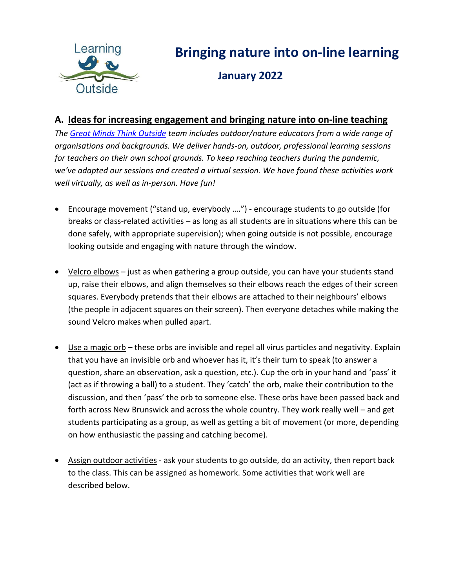

## **Bringing nature into on-line learning**

 **January 2022**

## **A. Ideas for increasing engagement and bringing nature into on-line teaching**

*The [Great Minds Think Outside](https://nben.ca/en/groups-in-action/great-minds-think-outside.html) team includes outdoor/nature educators from a wide range of organisations and backgrounds. We deliver hands-on, outdoor, professional learning sessions for teachers on their own school grounds. To keep reaching teachers during the pandemic, we've adapted our sessions and created a virtual session. We have found these activities work well virtually, as well as in-person. Have fun!*

- Encourage movement ("stand up, everybody ….") encourage students to go outside (for breaks or class-related activities – as long as all students are in situations where this can be done safely, with appropriate supervision); when going outside is not possible, encourage looking outside and engaging with nature through the window.
- Velcro elbows just as when gathering a group outside, you can have your students stand up, raise their elbows, and align themselves so their elbows reach the edges of their screen squares. Everybody pretends that their elbows are attached to their neighbours' elbows (the people in adjacent squares on their screen). Then everyone detaches while making the sound Velcro makes when pulled apart.
- Use a magic orb these orbs are invisible and repel all virus particles and negativity. Explain that you have an invisible orb and whoever has it, it's their turn to speak (to answer a question, share an observation, ask a question, etc.). Cup the orb in your hand and 'pass' it (act as if throwing a ball) to a student. They 'catch' the orb, make their contribution to the discussion, and then 'pass' the orb to someone else. These orbs have been passed back and forth across New Brunswick and across the whole country. They work really well – and get students participating as a group, as well as getting a bit of movement (or more, depending on how enthusiastic the passing and catching become).
- Assign outdoor activities ask your students to go outside, do an activity, then report back to the class. This can be assigned as homework. Some activities that work well are described below.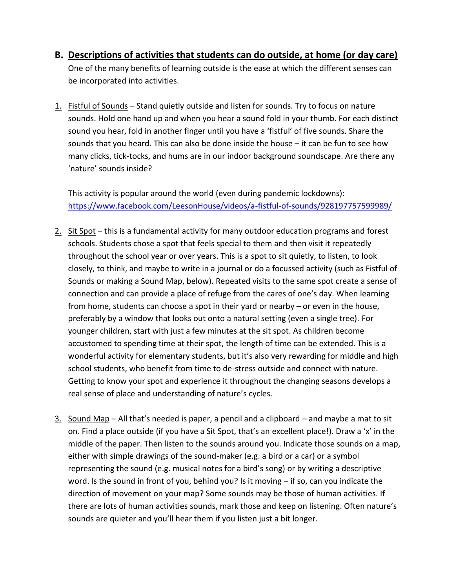- **B. Descriptions of activities that students can do outside, at home (or day care)** One of the many benefits of learning outside is the ease at which the different senses can be incorporated into activities.
- 1. Fistful of Sounds Stand quietly outside and listen for sounds. Try to focus on nature sounds. Hold one hand up and when you hear a sound fold in your thumb. For each distinct sound you hear, fold in another finger until you have a 'fistful' of five sounds. Share the sounds that you heard. This can also be done inside the house – it can be fun to see how many clicks, tick-tocks, and hums are in our indoor background soundscape. Are there any 'nature' sounds inside?

This activity is popular around the world (even during pandemic lockdowns): <https://www.facebook.com/LeesonHouse/videos/a-fistful-of-sounds/928197757599989/>

- 2. Sit Spot this is a fundamental activity for many outdoor education programs and forest schools. Students chose a spot that feels special to them and then visit it repeatedly throughout the school year or over years. This is a spot to sit quietly, to listen, to look closely, to think, and maybe to write in a journal or do a focussed activity (such as Fistful of Sounds or making a Sound Map, below). Repeated visits to the same spot create a sense of connection and can provide a place of refuge from the cares of one's day. When learning from home, students can choose a spot in their yard or nearby – or even in the house, preferably by a window that looks out onto a natural setting (even a single tree). For younger children, start with just a few minutes at the sit spot. As children become accustomed to spending time at their spot, the length of time can be extended. This is a wonderful activity for elementary students, but it's also very rewarding for middle and high school students, who benefit from time to de-stress outside and connect with nature. Getting to know your spot and experience it throughout the changing seasons develops a real sense of place and understanding of nature's cycles.
- $3.$  Sound Map All that's needed is paper, a pencil and a clipboard and maybe a mat to sit on. Find a place outside (if you have a Sit Spot, that's an excellent place!). Draw a 'x' in the middle of the paper. Then listen to the sounds around you. Indicate those sounds on a map, either with simple drawings of the sound-maker (e.g. a bird or a car) or a symbol representing the sound (e.g. musical notes for a bird's song) or by writing a descriptive word. Is the sound in front of you, behind you? Is it moving – if so, can you indicate the direction of movement on your map? Some sounds may be those of human activities. If there are lots of human activities sounds, mark those and keep on listening. Often nature's sounds are quieter and you'll hear them if you listen just a bit longer.